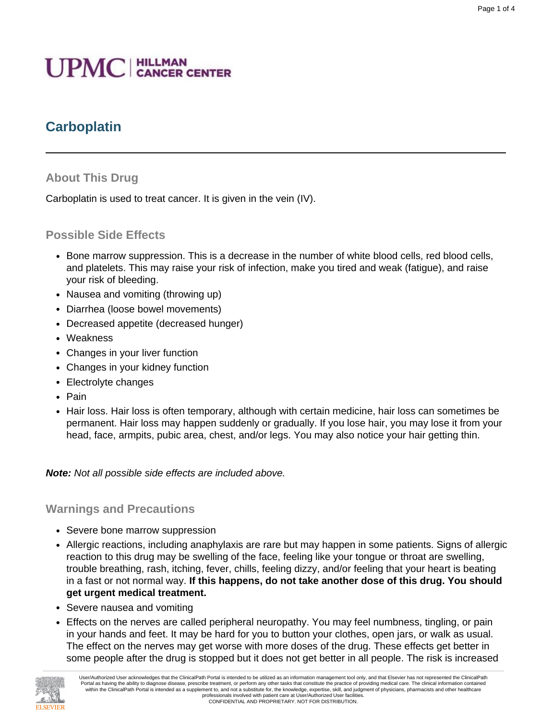# **UPMC** | HILLMAN

# **Carboplatin**

#### **About This Drug**

Carboplatin is used to treat cancer. It is given in the vein (IV).

#### **Possible Side Effects**

- Bone marrow suppression. This is a decrease in the number of white blood cells, red blood cells, and platelets. This may raise your risk of infection, make you tired and weak (fatigue), and raise your risk of bleeding.
- Nausea and vomiting (throwing up)
- Diarrhea (loose bowel movements)
- Decreased appetite (decreased hunger)
- Weakness
- Changes in your liver function
- Changes in your kidney function
- Electrolyte changes
- Pain
- Hair loss. Hair loss is often temporary, although with certain medicine, hair loss can sometimes be permanent. Hair loss may happen suddenly or gradually. If you lose hair, you may lose it from your head, face, armpits, pubic area, chest, and/or legs. You may also notice your hair getting thin.

**Note:** Not all possible side effects are included above.

#### **Warnings and Precautions**

- Severe bone marrow suppression
- Allergic reactions, including anaphylaxis are rare but may happen in some patients. Signs of allergic reaction to this drug may be swelling of the face, feeling like your tongue or throat are swelling, trouble breathing, rash, itching, fever, chills, feeling dizzy, and/or feeling that your heart is beating in a fast or not normal way. **If this happens, do not take another dose of this drug. You should get urgent medical treatment.**
- Severe nausea and vomiting
- Effects on the nerves are called peripheral neuropathy. You may feel numbness, tingling, or pain in your hands and feet. It may be hard for you to button your clothes, open jars, or walk as usual. The effect on the nerves may get worse with more doses of the drug. These effects get better in some people after the drug is stopped but it does not get better in all people. The risk is increased

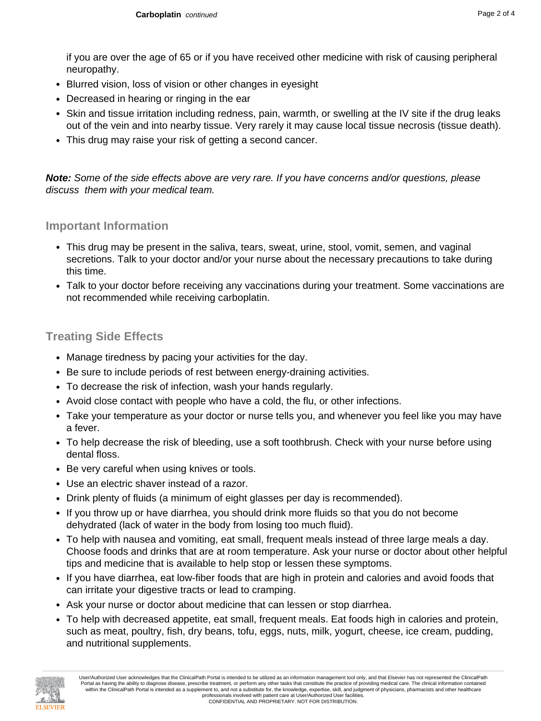if you are over the age of 65 or if you have received other medicine with risk of causing peripheral neuropathy.

- Blurred vision, loss of vision or other changes in eyesight
- Decreased in hearing or ringing in the ear
- Skin and tissue irritation including redness, pain, warmth, or swelling at the IV site if the drug leaks out of the vein and into nearby tissue. Very rarely it may cause local tissue necrosis (tissue death).
- This drug may raise your risk of getting a second cancer.

**Note:** Some of the side effects above are very rare. If you have concerns and/or questions, please discuss them with your medical team.

#### **Important Information**

- This drug may be present in the saliva, tears, sweat, urine, stool, vomit, semen, and vaginal secretions. Talk to your doctor and/or your nurse about the necessary precautions to take during this time.
- Talk to your doctor before receiving any vaccinations during your treatment. Some vaccinations are not recommended while receiving carboplatin.

#### **Treating Side Effects**

- Manage tiredness by pacing your activities for the day.
- Be sure to include periods of rest between energy-draining activities.
- To decrease the risk of infection, wash your hands regularly.
- Avoid close contact with people who have a cold, the flu, or other infections.
- Take your temperature as your doctor or nurse tells you, and whenever you feel like you may have a fever.
- To help decrease the risk of bleeding, use a soft toothbrush. Check with your nurse before using dental floss.
- Be very careful when using knives or tools.
- Use an electric shaver instead of a razor.
- Drink plenty of fluids (a minimum of eight glasses per day is recommended).
- If you throw up or have diarrhea, you should drink more fluids so that you do not become dehydrated (lack of water in the body from losing too much fluid).
- To help with nausea and vomiting, eat small, frequent meals instead of three large meals a day. Choose foods and drinks that are at room temperature. Ask your nurse or doctor about other helpful tips and medicine that is available to help stop or lessen these symptoms.
- If you have diarrhea, eat low-fiber foods that are high in protein and calories and avoid foods that can irritate your digestive tracts or lead to cramping.
- Ask your nurse or doctor about medicine that can lessen or stop diarrhea.
- To help with decreased appetite, eat small, frequent meals. Eat foods high in calories and protein, such as meat, poultry, fish, dry beans, tofu, eggs, nuts, milk, yogurt, cheese, ice cream, pudding, and nutritional supplements.

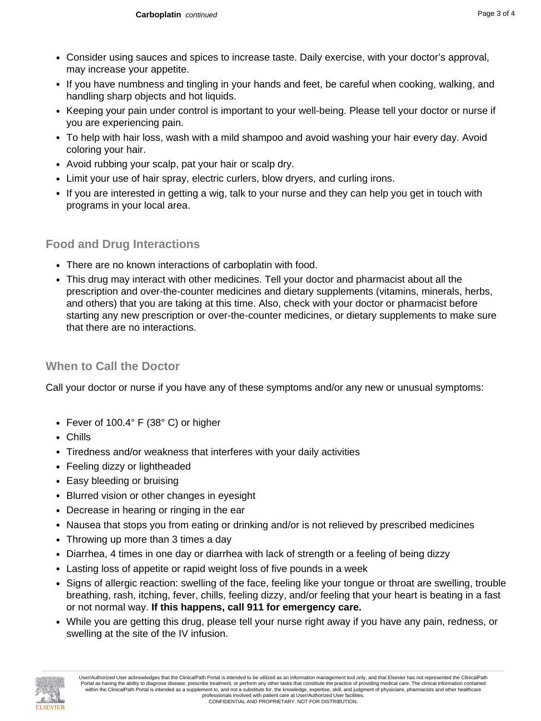- Consider using sauces and spices to increase taste. Daily exercise, with your doctor's approval, may increase your appetite.
- If you have numbness and tingling in your hands and feet, be careful when cooking, walking, and handling sharp objects and hot liquids.
- Keeping your pain under control is important to your well-being. Please tell your doctor or nurse if you are experiencing pain.
- To help with hair loss, wash with a mild shampoo and avoid washing your hair every day. Avoid coloring your hair.
- Avoid rubbing your scalp, pat your hair or scalp dry.
- Limit your use of hair spray, electric curlers, blow dryers, and curling irons.
- If you are interested in getting a wig, talk to your nurse and they can help you get in touch with programs in your local area.

## **Food and Drug Interactions**

- There are no known interactions of carboplatin with food.
- This drug may interact with other medicines. Tell your doctor and pharmacist about all the prescription and over-the-counter medicines and dietary supplements (vitamins, minerals, herbs, and others) that you are taking at this time. Also, check with your doctor or pharmacist before starting any new prescription or over-the-counter medicines, or dietary supplements to make sure that there are no interactions.

## **When to Call the Doctor**

Call your doctor or nurse if you have any of these symptoms and/or any new or unusual symptoms:

- Fever of 100.4° F (38° C) or higher
- Chills
- Tiredness and/or weakness that interferes with your daily activities
- Feeling dizzy or lightheaded
- Easy bleeding or bruising
- Blurred vision or other changes in eyesight
- Decrease in hearing or ringing in the ear
- Nausea that stops you from eating or drinking and/or is not relieved by prescribed medicines
- Throwing up more than 3 times a day
- Diarrhea, 4 times in one day or diarrhea with lack of strength or a feeling of being dizzy
- Lasting loss of appetite or rapid weight loss of five pounds in a week
- Signs of allergic reaction: swelling of the face, feeling like your tongue or throat are swelling, trouble breathing, rash, itching, fever, chills, feeling dizzy, and/or feeling that your heart is beating in a fast or not normal way. **If this happens, call 911 for emergency care.**
- While you are getting this drug, please tell your nurse right away if you have any pain, redness, or swelling at the site of the IV infusion.